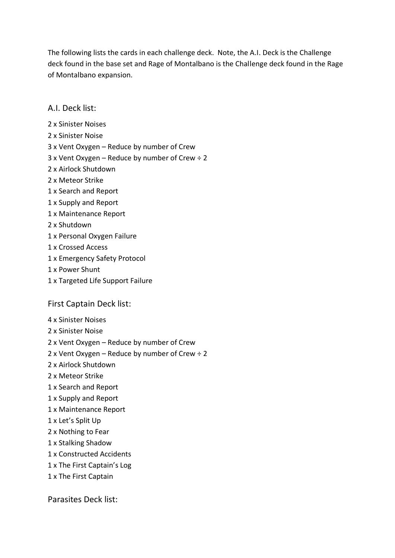The following lists the cards in each challenge deck. Note, the A.I. Deck is the Challenge deck found in the base set and Rage of Montalbano is the Challenge deck found in the Rage of Montalbano expansion.

## A.I. Deck list:

- 2 x Sinister Noises
- 2 x Sinister Noise
- 3 x Vent Oxygen Reduce by number of Crew
- $3x$  Vent Oxygen Reduce by number of Crew  $\div 2$
- 2 x Airlock Shutdown
- 2 x Meteor Strike
- 1 x Search and Report
- 1 x Supply and Report
- 1 x Maintenance Report
- 2 x Shutdown
- 1 x Personal Oxygen Failure
- 1 x Crossed Access
- 1 x Emergency Safety Protocol
- 1 x Power Shunt
- 1 x Targeted Life Support Failure

## First Captain Deck list:

- 4 x Sinister Noises
- 2 x Sinister Noise
- 2 x Vent Oxygen Reduce by number of Crew
- 2 x Vent Oxygen Reduce by number of Crew ÷ 2
- 2 x Airlock Shutdown
- 2 x Meteor Strike
- 1 x Search and Report
- 1 x Supply and Report
- 1 x Maintenance Report
- 1 x Let's Split Up
- 2 x Nothing to Fear
- 1 x Stalking Shadow
- 1 x Constructed Accidents
- 1 x The First Captain's Log
- 1 x The First Captain

Parasites Deck list: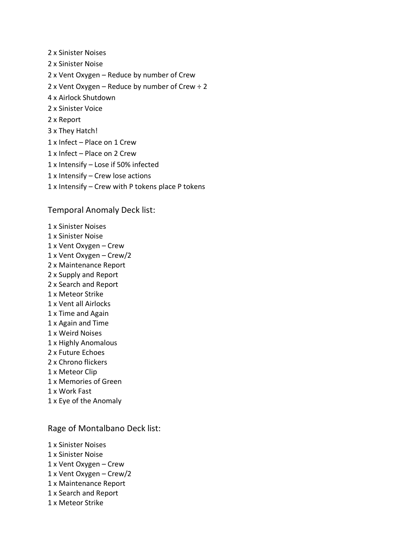- 2 x Sinister Noises 2 x Sinister Noise 2 x Vent Oxygen – Reduce by number of Crew 2 x Vent Oxygen – Reduce by number of Crew  $\div$  2 4 x Airlock Shutdown 2 x Sinister Voice 2 x Report 3 x They Hatch! 1 x Infect – Place on 1 Crew 1 x Infect – Place on 2 Crew 1 x Intensify – Lose if 50% infected 1 x Intensify – Crew lose actions
- 1 x Intensify Crew with P tokens place P tokens

## Temporal Anomaly Deck list:

1 x Sinister Noises 1 x Sinister Noise 1 x Vent Oxygen – Crew 1 x Vent Oxygen – Crew/2 2 x Maintenance Report 2 x Supply and Report 2 x Search and Report 1 x Meteor Strike 1 x Vent all Airlocks 1 x Time and Again 1 x Again and Time 1 x Weird Noises 1 x Highly Anomalous 2 x Future Echoes 2 x Chrono flickers 1 x Meteor Clip 1 x Memories of Green 1 x Work Fast 1 x Eye of the Anomaly

## Rage of Montalbano Deck list:

1 x Sinister Noises 1 x Sinister Noise 1 x Vent Oxygen – Crew 1 x Vent Oxygen – Crew/2 1 x Maintenance Report 1 x Search and Report 1 x Meteor Strike